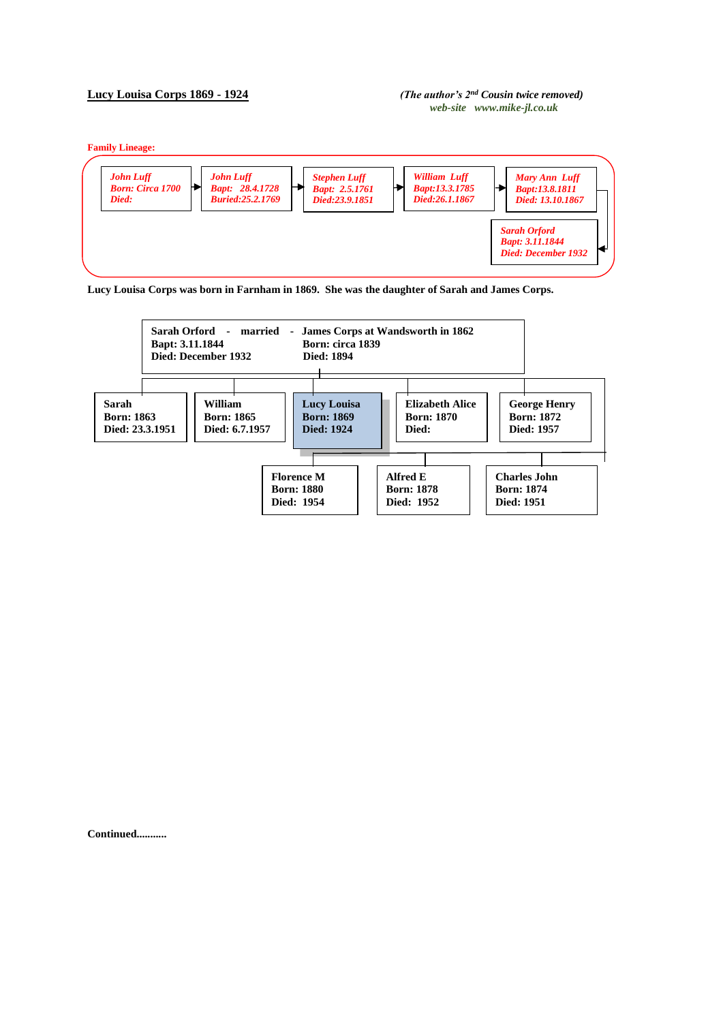## **Lucy Louisa Corps 1869 - 1924** *(The author's 2nd Cousin twice removed)*

## *web-site www.mike-jl.co.uk*

**Family Lineage:**







**Continued...........**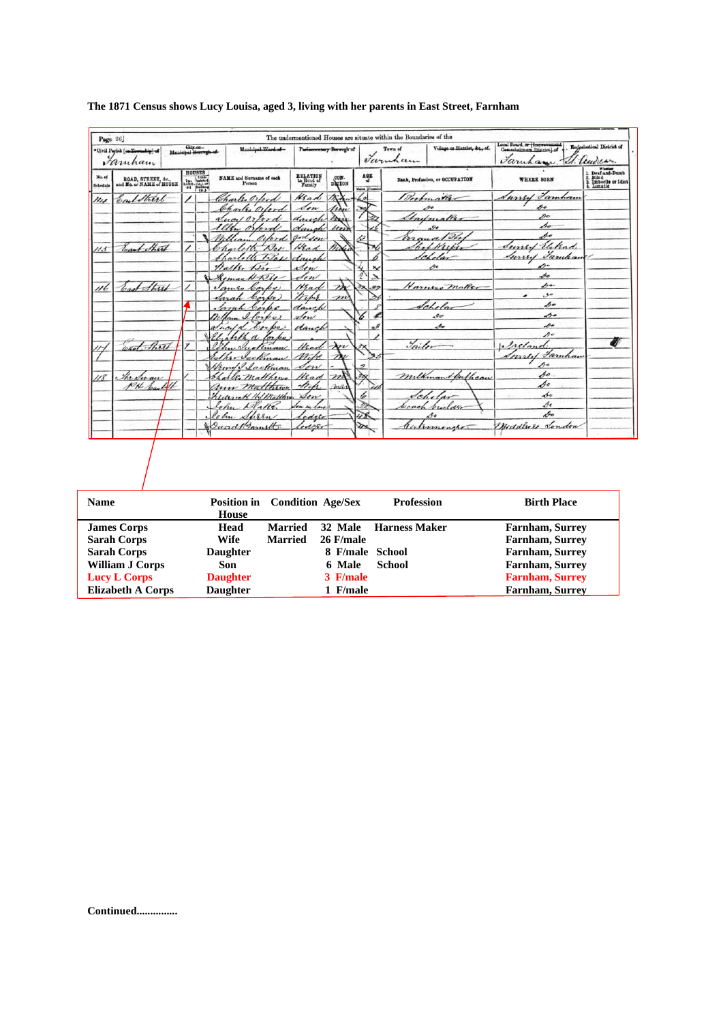| · Civil Parish [ca.Towanhip] of<br>Famham |                                                |                                                                                                                                                                                                                                                                                                                                                                                                                                                                               | City.or.<br>Municipal Horough of | Municipal Ward of-                                |                                  | Parliamentary Borough of |                                                 | Town of<br>Taruham | Village or Hamlet, &c., of             | Local Board, or (Impressment<br>Faruham. | <b>Ecclesiastical District of</b><br>V. lendear               |
|-------------------------------------------|------------------------------------------------|-------------------------------------------------------------------------------------------------------------------------------------------------------------------------------------------------------------------------------------------------------------------------------------------------------------------------------------------------------------------------------------------------------------------------------------------------------------------------------|----------------------------------|---------------------------------------------------|----------------------------------|--------------------------|-------------------------------------------------|--------------------|----------------------------------------|------------------------------------------|---------------------------------------------------------------|
| No. of<br>Schedule                        | ROAD, STREET, &c.,<br>and No. or NAME of HOUSE | <b>HOUSES</b><br>$\begin{array}{r} \text{HUDBS} \\ \text{In.}_1 \\ \text{In.}_2 \\ \text{In.}_3 \\ \text{In.}_4 \\ \text{In.}_5 \\ \text{In.}_5 \\ \text{In.}_6 \\ \text{In.}_7 \\ \text{In.}_8 \\ \text{In.}_7 \\ \text{In.}_8 \\ \text{In.}_8 \\ \text{In.}_8 \\ \text{In.}_9 \\ \text{In.}_9 \\ \text{In.}_9 \\ \text{In.}_9 \\ \text{In.}_9 \\ \text{In.}_9 \\ \text{In.}_9 \\ \text{In.}_9 \\ \text{In.}_9 \\ \text{In.}_9 \\ \text{In.}_9 \\ \text{In.}_9 \\ \text{In.$ |                                  | <b>NAME</b> and Surname of each<br>Person         | RELATION<br>to Head of<br>Family | DETON                    | $\frac{\text{AGE}}{\text{d}t}$<br>Males Feature |                    | <b>Rank, Profession, or OCCUPATION</b> | <b>WHERE BORN</b>                        | Whether Dumb<br>Blind<br>Hind<br>Imbecile or Idiot<br>Lunatio |
| 114                                       | EarlStrint                                     |                                                                                                                                                                                                                                                                                                                                                                                                                                                                               |                                  | Charles Orlean<br>Charles Orler                   | Wead<br>don                      | Trix.                    | 62<br>35                                        |                    | Beefmather<br>$\mathcal{P}$ e          | 1 Famban<br>mus<br>p.                    |                                                               |
|                                           |                                                |                                                                                                                                                                                                                                                                                                                                                                                                                                                                               |                                  | ducil<br>$\lambda$ rd                             | danch                            | there<br>mix             |                                                 |                    | Charlonaller                           | »                                        |                                                               |
|                                           |                                                |                                                                                                                                                                                                                                                                                                                                                                                                                                                                               |                                  | ortord                                            | daugh<br>andson                  | $\langle m \rangle$      |                                                 |                    | $^{o}$<br>$d\mathcal{D}$               | so.<br>po                                |                                                               |
| 1/3                                       | East Strait                                    |                                                                                                                                                                                                                                                                                                                                                                                                                                                                               |                                  |                                                   | Hear                             |                          |                                                 |                    | /Ker                                   | Sunset Elekad                            |                                                               |
|                                           |                                                |                                                                                                                                                                                                                                                                                                                                                                                                                                                                               |                                  | 7311<br>Halls.                                    | danch<br>Sen                     |                          | $\mathbf{x}$                                    |                    | elas<br>se                             | <u>Inny Famban</u><br>↛                  |                                                               |
|                                           |                                                |                                                                                                                                                                                                                                                                                                                                                                                                                                                                               |                                  | $_{\mathcal{A}\mathcal{A}\mathcal{B}\mathcal{B}}$ | Sen                              |                          | $\frac{4}{2}$<br>$\lambda$                      |                    |                                        | so<br>po-                                |                                                               |
| 116                                       | ast Sterel                                     |                                                                                                                                                                                                                                                                                                                                                                                                                                                                               | ı                                | 6.60                                              | Mad<br>Wife                      | $\rightarrow$ v          |                                                 |                    | Harners maker                          | مى.<br>۔                                 |                                                               |
|                                           |                                                |                                                                                                                                                                                                                                                                                                                                                                                                                                                                               |                                  | boyles<br>Ham I forpo                             | danch<br>stow                    |                          | b                                               |                    | Schelar<br>.90                         | so<br>↛                                  |                                                               |
|                                           |                                                |                                                                                                                                                                                                                                                                                                                                                                                                                                                                               |                                  | Jucela<br>$\sqrt{2}$                              | danch                            |                          | o<br>$\mathbf{z}^{\mathcal{J}}$                 |                    | s                                      | so                                       |                                                               |
|                                           | card Short                                     |                                                                                                                                                                                                                                                                                                                                                                                                                                                                               |                                  | Elisabetha<br>lorke<br>Vactional                  | Had                              | $\lambda$                |                                                 | Jailor             |                                        | $\mathcal{L}^{\omega}$<br>reland         |                                                               |
|                                           |                                                |                                                                                                                                                                                                                                                                                                                                                                                                                                                                               |                                  | Sectionar                                         |                                  |                          |                                                 |                    |                                        | <i>Faruhan</i><br>Inneed                 |                                                               |
| $18^{\circ}$                              | The Swan                                       |                                                                                                                                                                                                                                                                                                                                                                                                                                                                               |                                  | Hamp I acknow<br>L. matthews                      | Son<br>Head                      | m                        | $\overline{z}$<br>$\partial x$                  |                    | milkman buthcan                        | so<br>So                                 |                                                               |
|                                           | PN Load 41                                     |                                                                                                                                                                                                                                                                                                                                                                                                                                                                               |                                  | ann Matthews                                      | the                              | mar                      | 40                                              |                    |                                        | So<br>se                                 |                                                               |
|                                           |                                                |                                                                                                                                                                                                                                                                                                                                                                                                                                                                               |                                  | hidesick Hil Matthew<br>lohu<br>$\lambda$ dalla   | don<br>Son in law.               |                          | 6<br>21                                         | boach              | builder                                | Se                                       |                                                               |
|                                           |                                                |                                                                                                                                                                                                                                                                                                                                                                                                                                                                               |                                  | Cohn Spren                                        | edesi                            |                          | 48                                              |                    | so                                     | Do                                       |                                                               |
|                                           |                                                |                                                                                                                                                                                                                                                                                                                                                                                                                                                                               |                                  | David Barnstt.                                    | edeter                           |                          | $\sum_{i=1}^n$                                  |                    | experimencer.                          | Meddlier London                          |                                                               |
|                                           |                                                |                                                                                                                                                                                                                                                                                                                                                                                                                                                                               |                                  |                                                   |                                  |                          |                                                 |                    |                                        |                                          |                                                               |
|                                           |                                                |                                                                                                                                                                                                                                                                                                                                                                                                                                                                               |                                  |                                                   |                                  |                          |                                                 |                    |                                        |                                          |                                                               |

## **The 1871 Census shows Lucy Louisa, aged 3, living with her parents in East Street, Farnham**

| <b>Name</b>              | House           | <b>Position in</b> Condition Age/Sex |                 | <b>Profession</b>     | <b>Birth Place</b>     |
|--------------------------|-----------------|--------------------------------------|-----------------|-----------------------|------------------------|
| <b>James Corps</b>       | Head            | Married                              |                 | 32 Male Harness Maker | <b>Farnham, Surrey</b> |
| <b>Sarah Corps</b>       | Wife            | <b>Married</b>                       | 26 F/male       |                       | <b>Farnham, Surrey</b> |
| <b>Sarah Corps</b>       | <b>Daughter</b> |                                      | 8 F/male School |                       | <b>Farnham, Surrey</b> |
| <b>William J Corps</b>   | Son             |                                      | 6 Male          | School                | <b>Farnham, Surrey</b> |
| <b>Lucy L Corps</b>      | <b>Daughter</b> |                                      | 3 F/male        |                       | <b>Farnham, Surrey</b> |
| <b>Elizabeth A Corps</b> | <b>Daughter</b> |                                      | 1 F/male        |                       | <b>Farnham, Surrey</b> |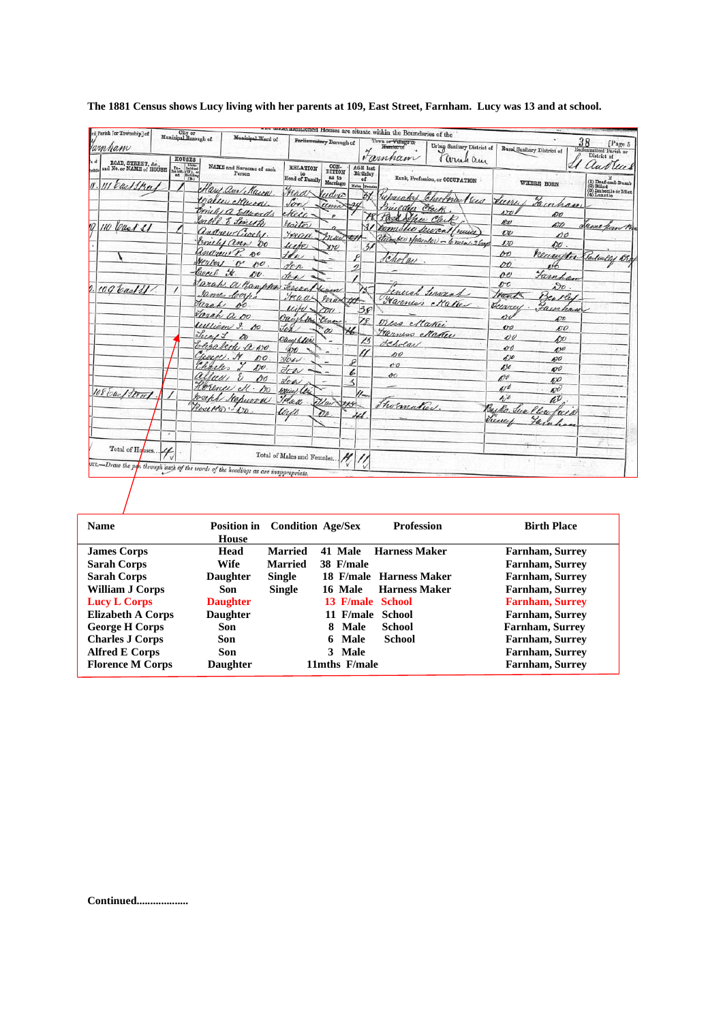| amham                                                           |   | City or Municipal Borough of<br><b>HOUSES</b>                                                                                                                                   | Municipal.Ward of                                   |                                                | Porlinmentary Borough of            |                                                     | entioned Houses are situate within the Boundaries of the<br>Town or Village of<br>Homilet of<br>Farnham | Urban Sanitary District of<br>arnel am |                                         | Rural Sanitary District of      | 38<br>[Page 5<br>Ecclesinstical Parish or<br>District of                                                                                                                  |
|-----------------------------------------------------------------|---|---------------------------------------------------------------------------------------------------------------------------------------------------------------------------------|-----------------------------------------------------|------------------------------------------------|-------------------------------------|-----------------------------------------------------|---------------------------------------------------------------------------------------------------------|----------------------------------------|-----------------------------------------|---------------------------------|---------------------------------------------------------------------------------------------------------------------------------------------------------------------------|
| ROAD, STREET, &c.,<br>and No. or NAME of HOUSE<br>11 cast Stras |   | $\begin{array}{c} \text{In-} & \text{Unin-} \\ \text{Ina bit:} & \text{in.} \\ \text{Ina bit:} & \text{in.} \\ \text{out} & \text{in.} \\ \text{in.} \\ \text{in.} \end{array}$ | NAME and Surname of cach<br>Person                  | <b>RELATION</b><br>to<br><b>Head of Family</b> | CON-<br>DITION<br>as to<br>Marriage | <b>AGE</b> last<br>Birthday<br>of<br>Males  Females |                                                                                                         | Rank, Profession, or OCCUPATION        |                                         | WHERE BORN                      | lud Ulle<br>$\begin{array}{l} \textbf{(1) } \textbf{Dead-and-Dumb} \\ \textbf{(2) } \textbf{Blind} \\ \textbf{(3) } \textbf{Imbeta} \\ \textbf{(4) Lunnatio} \end{array}$ |
|                                                                 |   |                                                                                                                                                                                 | Care am/Mason<br>ealler Mura.                       | Fraa<br>Son                                    | ludvio<br>umn                       | ЖY                                                  | zuelder                                                                                                 | reparator Choolna (sus<br>Clock        | Runi                                    | Jainhan                         |                                                                                                                                                                           |
| 110 Cast SI                                                     |   |                                                                                                                                                                                 | michia Edwards<br>Jable. E Linyte<br>andrew Crochs. | ekeee<br>Stoitor<br>yead                       |                                     | Ś1                                                  | Pass Achee Clerk                                                                                        | Domistic Secret/nuis                   | 501<br>ĸv<br>$\overline{\nu}$           | øo<br>ño<br>00                  | Same form B.                                                                                                                                                              |
|                                                                 |   |                                                                                                                                                                                 | Coniche anni 00<br>Indian 8. 80                     | unter<br>H                                     | nui<br>$x\infty$                    | رمی<br>$\frac{3}{2}$                                | Cholas                                                                                                  | Humber Hearner - 6 men. 2 bags         | 170<br>60                               | $\mathcal{O}O$ .<br>neuritu     | Salcally Br                                                                                                                                                               |
|                                                                 |   | beach it.                                                                                                                                                                       | Nerbal o<br>100<br>00.                              | den<br>for                                     |                                     |                                                     |                                                                                                         |                                        | DO<br>oe                                | Turnham                         |                                                                                                                                                                           |
| 109 bad 31.                                                     |   | Jarah                                                                                                                                                                           | Jarah a Banpler<br>James Coch<br>so.                | Lenaa<br>Fraas                                 | Kum<br>may                          |                                                     |                                                                                                         | enced termint<br>Farmer Maker          | $\mathbf{v}$<br>Hanks                   | $\partial o$ .<br>Bentley       |                                                                                                                                                                           |
|                                                                 |   |                                                                                                                                                                                 | Jarah a oo<br>William 9. Au                         | likt.<br>Oauchton<br>Job                       | $\pi$                               | 38<br>78                                            | Mess Maker                                                                                              |                                        | Jurrey<br>erv<br>$\mathcal{O}^{\sigma}$ | Fainhau<br>$\mathcal{L}$<br>10O |                                                                                                                                                                           |
|                                                                 |   | Lucy 1                                                                                                                                                                          | Do<br>Elizabeth a wo.                               | Oucef flore<br>ЮO                              | $\omega$                            | 46.<br>13                                           | Transes Maker<br>dehola                                                                                 |                                        | $\mathbf{v}$<br>00                      | hО<br>$\mathscr{L}$             |                                                                                                                                                                           |
|                                                                 |   | Curry N<br>Charles<br>alluus                                                                                                                                                    | po<br>$\Lambda$ <sub>1</sub>                        | $\forall c$ es<br>Jow                          |                                     | Ω                                                   | so<br>00<br>$^{oo}$                                                                                     |                                        | 670<br>650                              | mo<br>490                       |                                                                                                                                                                           |
| 108 bac/ Street                                                 |   |                                                                                                                                                                                 | oo<br>Horence ell . Do<br>Joseph Stepwood           | Soci<br>Weiel les<br>Treall                    |                                     | z<br>$\mathcal{U}_{\mathsf{m}}$                     |                                                                                                         |                                        | 190<br>470<br>470                       | 50<br>$\mathscr{A}$<br>$\ell^p$ |                                                                                                                                                                           |
|                                                                 |   |                                                                                                                                                                                 | Rosetto 1.00                                        | $\ell\alpha\beta$                              | Uw<br>Do.                           |                                                     | hormatico.                                                                                              |                                        | June                                    | llow<br>ree                     |                                                                                                                                                                           |
| Total of Houses                                                 | ۰ |                                                                                                                                                                                 |                                                     | Total of Males and Females                     |                                     |                                                     |                                                                                                         |                                        |                                         |                                 |                                                                                                                                                                           |

## **The 1881 Census shows Lucy living with her parents at 109, East Street, Farnham. Lucy was 13 and at school.**

| <b>Name</b>              | House           | <b>Position in</b> Condition Age/Sex |                  | <b>Profession</b>       | <b>Birth Place</b>     |
|--------------------------|-----------------|--------------------------------------|------------------|-------------------------|------------------------|
| <b>James Corps</b>       | Head            | <b>Married</b>                       | 41 Male          | <b>Harness Maker</b>    | <b>Farnham, Surrey</b> |
| <b>Sarah Corps</b>       | <b>Wife</b>     | <b>Married</b>                       | 38 F/male        |                         | <b>Farnham, Surrey</b> |
| <b>Sarah Corps</b>       | <b>Daughter</b> | <b>Single</b>                        |                  | 18 F/male Harness Maker | Farnham, Surrey        |
| <b>William J Corps</b>   | Son             | <b>Single</b>                        | 16 Male          | <b>Harness Maker</b>    | Farnham, Surrey        |
| Lucy L Corps             | <b>Daughter</b> |                                      | 13 F/male School |                         | <b>Farnham, Surrey</b> |
| <b>Elizabeth A Corps</b> | <b>Daughter</b> |                                      | 11 F/male School |                         | Farnham, Surrey        |
| <b>George H Corps</b>    | Son             |                                      | 8 Male           | School                  | <b>Farnham, Surrey</b> |
| <b>Charles J Corps</b>   | Son             |                                      | 6 Male           | <b>School</b>           | <b>Farnham, Surrey</b> |
| <b>Alfred E Corps</b>    | Son             |                                      | 3 Male           |                         | <b>Farnham, Surrey</b> |
| <b>Florence M Corps</b>  | <b>Daughter</b> |                                      | 11mths F/male    |                         | <b>Farnham, Surrey</b> |

**Continued...................**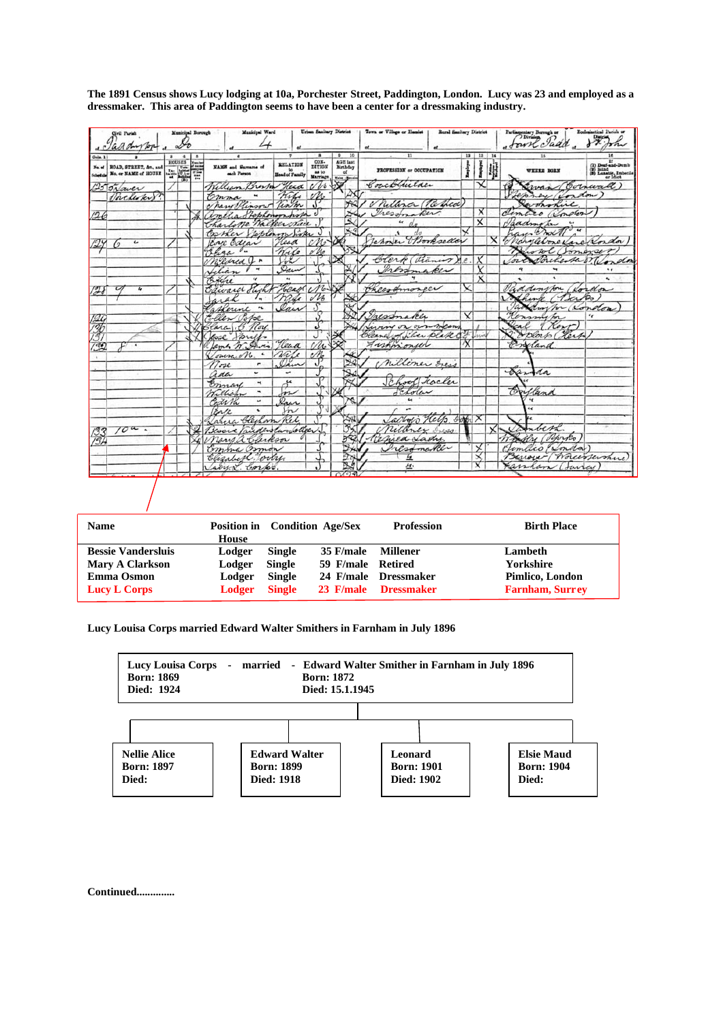| Municipal Borough<br>Civil Parish<br>· Jaddyson                                                               | Municipal Ward                                                          | Urban Sanitary District                                                                            | Town or Village or Hamlet          | <b>Rural Sanitary District</b> |         | Putingnatury Burnigh or Es         | Ecclesiastical Parish or                                           |
|---------------------------------------------------------------------------------------------------------------|-------------------------------------------------------------------------|----------------------------------------------------------------------------------------------------|------------------------------------|--------------------------------|---------|------------------------------------|--------------------------------------------------------------------|
| Cols. 1<br><b>HOUSES</b><br>E<br>ROAD, STREET, &c., and<br>BOAD, STREET, Ac., and West With the Way<br>No. of | <b>RELATION</b><br>NAME and Surname of<br>Head of Family<br>each Person | 10<br>CON-<br>DITION<br><b>AGE</b> last<br>Birthday<br>of<br>as to<br>Marriage<br><b>Males</b> (B) | <b>PROFESSION or OCCUPATION</b>    | $12 -$<br>Employed             | 13   14 | WHERE BORN                         | (1) Deaf-and-Dumb<br>(2) Biind<br>(3) Lunatie, Imbedie<br>or Idiot |
| $25$ JNaver<br>Joclesky.                                                                                      | William Bran Head<br>Wishe<br>temma<br>ч                                | $\sqrt{v}$                                                                                         | Couckluitaer                       | ≺                              |         | Swan (Cornwall)<br>Ferrey (Lordon) |                                                                    |
|                                                                                                               | Timm<br>have Hinson                                                     |                                                                                                    | Milliner (Respect                  |                                |         | wohohic                            |                                                                    |
| 126                                                                                                           | elia Stephenompora                                                      | J                                                                                                  | Tressmaker.                        | x                              |         | almoton<br>imaro                   |                                                                    |
|                                                                                                               | Charlotte Walker Nuce                                                   |                                                                                                    | $\epsilon$                         | $\overline{\mathsf{x}}$        |         | Jaadmoton                          |                                                                    |
|                                                                                                               | Costher Joplanon hover                                                  |                                                                                                    |                                    |                                |         |                                    |                                                                    |
| $\epsilon$<br>$\mathcal{L}$                                                                                   | Head<br>Core Edias                                                      |                                                                                                    | Tahoner Bookseller                 |                                |         | Nanglebone Varen Vordor            |                                                                    |
|                                                                                                               | hosa<br>$\mathcal{O}_{\bullet\bullet}$<br>mile                          |                                                                                                    |                                    |                                |         | wolfonesser                        |                                                                    |
|                                                                                                               | needred<br>for                                                          |                                                                                                    | Clerk (Vianus)                     |                                |         | Concredenta Mendon                 |                                                                    |
|                                                                                                               | Dar<br>Llian<br>Filere<br>$\overline{\phantom{a}}$<br>$\overline{u}$    |                                                                                                    | Iresponsible                       | $\times$                       |         | ٦.                                 | ٠                                                                  |
|                                                                                                               | Head No<br>Edward Hight                                                 |                                                                                                    | Cheesamoneer                       |                                |         | addington ( lordon                 |                                                                    |
| 77                                                                                                            | made<br>arah<br>$\overline{a}$                                          | $\sqrt{26}$                                                                                        |                                    |                                |         | Schine (Berko                      |                                                                    |
|                                                                                                               | law<br>askerine<br>$\tilde{\phantom{a}}$                                |                                                                                                    |                                    |                                |         | Jackdon how (London                |                                                                    |
|                                                                                                               | Ellen Pope                                                              |                                                                                                    | Tressmaker                         | ∨                              |         | Kensington                         |                                                                    |
| 196<br>136<br>131                                                                                             | lara & Roy.                                                             | ک                                                                                                  | Living on own means                |                                |         | Real<br>Kerr                       |                                                                    |
|                                                                                                               | lesse Jones                                                             |                                                                                                    | Cleaner of files plate of wind     |                                |         | Boblasto (Herto                    |                                                                    |
| 39<br>$\overline{1}$                                                                                          | James M. Awis.<br>Head                                                  | M <sub>o</sub>                                                                                     | Fishmonich                         |                                |         | Enfland                            |                                                                    |
|                                                                                                               | nate<br>Joursa M.                                                       | $\frac{2}{3}$                                                                                      |                                    |                                |         |                                    |                                                                    |
|                                                                                                               | lam<br>$7$ oze<br>۳                                                     |                                                                                                    | milliner Iress                     |                                |         |                                    |                                                                    |
|                                                                                                               | L<br>٠<br>ada                                                           |                                                                                                    |                                    |                                |         | Sanda                              |                                                                    |
|                                                                                                               | $\int_{\mathcal{W}}^{\mu}$<br>Emay<br>$\blacktriangleleft$              |                                                                                                    | Chool Factor                       |                                |         |                                    |                                                                    |
|                                                                                                               | $\blacksquare$<br>Kellichn                                              |                                                                                                    | Leholar<br>$\overline{\mathbf{r}}$ |                                |         | Orfland                            |                                                                    |
|                                                                                                               | Dair<br>Codith<br>u                                                     |                                                                                                    |                                    |                                |         |                                    |                                                                    |
|                                                                                                               | $\ddot{\phantom{0}}$<br>Enle<br>$\sim$                                  |                                                                                                    | Cachonis Help. Som                 |                                |         |                                    |                                                                    |
| 70a.                                                                                                          | auca Clechom Rel                                                        |                                                                                                    |                                    |                                |         | Namber2.                           |                                                                    |
| 133                                                                                                           | Besoie Paude stanfolder                                                 |                                                                                                    | relance Iress<br>Refiled Lady      |                                |         | Whatly about                       |                                                                    |
| 13H                                                                                                           | nans a Clarkson<br>Emma Osmon                                           |                                                                                                    | Iresomater                         |                                |         | Limitico (London)                  |                                                                    |
|                                                                                                               | Elizabeth Towny.                                                        |                                                                                                    | 丘                                  | $\times$                       |         | Benover Worcestershire             |                                                                    |
|                                                                                                               | any L. Corps.                                                           |                                                                                                    | $\underline{\mathcal{H}}$          | x                              |         | canhan Courey                      |                                                                    |
|                                                                                                               |                                                                         | $C\sqrt{c}$                                                                                        |                                    |                                |         |                                    |                                                                    |
|                                                                                                               |                                                                         |                                                                                                    |                                    |                                |         |                                    |                                                                    |
| Name                                                                                                          | <b>Position in</b> Condition Age/Sex                                    |                                                                                                    | <b>Profession</b>                  |                                |         | <b>Birth Place</b>                 |                                                                    |

**The 1891 Census shows Lucy lodging at 10a, Porchester Street, Paddington, London. Lucy was 23 and employed as a dressmaker. This area of Paddington seems to have been a center for a dressmaking industry.**

| <b>Name</b>               | House  | Position in Condition Age/Sex |                   | <b>Profession</b>    | <b>Birth Place</b>     |
|---------------------------|--------|-------------------------------|-------------------|----------------------|------------------------|
| <b>Bessie Vandersluis</b> | Lodger | Single                        | 35 F/male         | Millener             | Lambeth                |
| <b>Mary A Clarkson</b>    | Lodger | <b>Single</b>                 | 59 F/male Retired |                      | <b>Yorkshire</b>       |
| <b>Emma Osmon</b>         | Lodger | <b>Single</b>                 |                   | 24 F/male Dressmaker | Pimlico, London        |
| <b>Lucy L Corps</b>       | Lodger | <b>Single</b>                 |                   | 23 F/male Dressmaker | <b>Farnham, Surrey</b> |

**Lucy Louisa Corps married Edward Walter Smithers in Farnham in July 1896**



**Continued..............**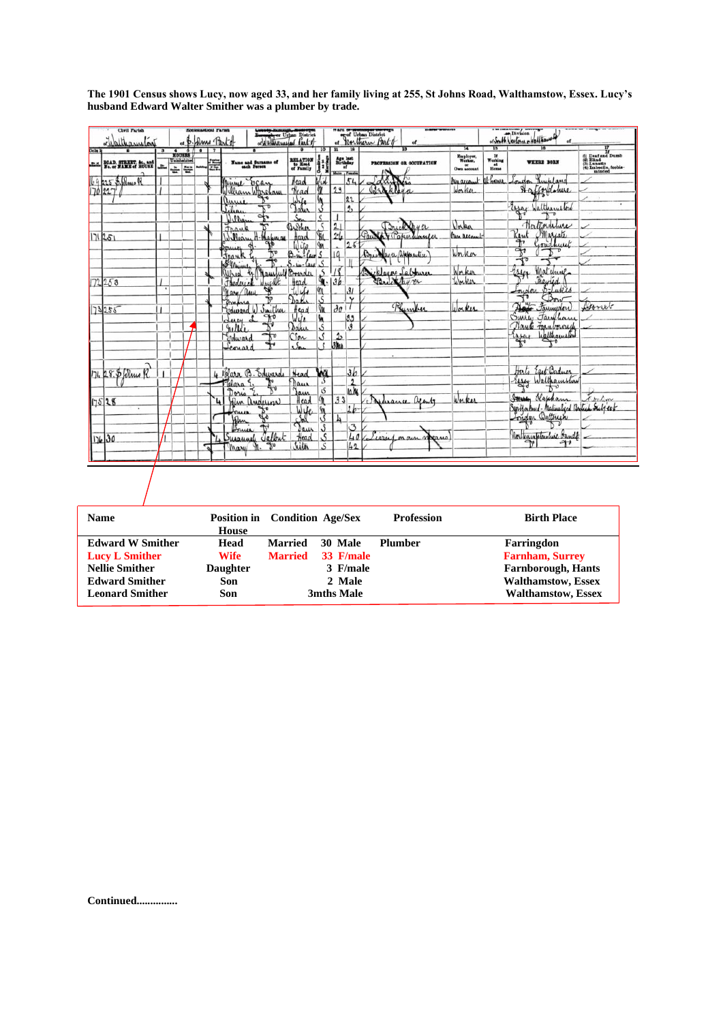|  |  |                                                       | The 1901 Census shows Lucy, now aged 33, and her family living at 255, St Johns Road, Walthamstow, Essex. Lucy's |  |  |
|--|--|-------------------------------------------------------|------------------------------------------------------------------------------------------------------------------|--|--|
|  |  | husband Edward Walter Smither was a plumber by trade. |                                                                                                                  |  |  |

| Civil Parish                                              | <b>Ecclesiantical Parish</b><br>of B. Drus Partof |  |  |  |                                            | Boundary Press District |                                         | of Urban District              |                                                                                                                                    |                   |                                                 |                                 |                                     | or South Nexton Multiaux                                                                 |                                                                   |                                                                             |
|-----------------------------------------------------------|---------------------------------------------------|--|--|--|--------------------------------------------|-------------------------|-----------------------------------------|--------------------------------|------------------------------------------------------------------------------------------------------------------------------------|-------------------|-------------------------------------------------|---------------------------------|-------------------------------------|------------------------------------------------------------------------------------------|-------------------------------------------------------------------|-----------------------------------------------------------------------------|
| orbalthamston                                             |                                                   |  |  |  |                                            |                         |                                         |                                |                                                                                                                                    |                   |                                                 |                                 | īΖ                                  |                                                                                          |                                                                   |                                                                             |
| <b>ROAD, STREET, &amp;c., and</b><br>No. or NAME of HOUSE | HOUSES<br>击₩                                      |  |  |  | Name and Surname of<br>each Person         |                         | RELATION<br>to Head<br>of Family        | 10                             | $\overline{\mathbf{u}}$<br>$\begin{array}{c}\n\textbf{Age last} \\ \textbf{Birthday} \\ \textbf{of}\n\end{array}$<br>Males / Fomal |                   |                                                 | <b>PROFESSION OR OCCUPATION</b> | Employer,<br>Worker,<br>Own account | $\begin{array}{c}\n\text{If} \\ \text{Working} \\ \text{at} \\ \text{Home}\n\end{array}$ | <b>WHERE BORN</b>                                                 | (1) Deaf and Dumb<br>(3) Blind<br>(3) Lunatic<br>(4) Imbedie, feeble-minded |
| 225 S. Blue R<br>170227'                                  |                                                   |  |  |  | Minime Egay<br>William Wareham             |                         | Head<br>Heag                            | Jid                            | 23                                                                                                                                 | 51                | $\int d\mathbf{x} \cdot \mathbf{X}$<br>Braklaga |                                 | bus account<br>Worker               | athome                                                                                   | Rinkland<br>nidon<br>Haffordoline                                 |                                                                             |
|                                                           |                                                   |  |  |  | anni<br>$\int_{\alpha} \rho_{\alpha}$<br>ى | ᠇                       | Wic<br>Tale                             | y                              |                                                                                                                                    | 22<br>2,          |                                                 |                                 |                                     |                                                                                          | Essay Walthamston                                                 |                                                                             |
|                                                           |                                                   |  |  |  | Willia<br>Jrank                            |                         | $S_{0}$<br>Basher                       | \$<br><b>SEC</b>               | 21                                                                                                                                 |                   | $C_{\text{max}}$                                | Brickhyer<br>Gapertiancer       | Unkn<br>Man account                 |                                                                                          | Northornhere<br>Rent                                              |                                                                             |
| 171251                                                    |                                                   |  |  |  | William<br>Jank                            | bhabura                 | Head<br>Wile<br>$B_{\text{min}}$ - Car  | $\mathbb{R}$<br>S              | $2 - 6$<br>$\overline{19}$                                                                                                         | 28                | Bricklayer apprentice                           |                                 | Worker                              |                                                                                          | Marcate<br>Goudhuret<br>$\widetilde{\mathbb{T}}$<br>$\mathcal{F}$ |                                                                             |
|                                                           |                                                   |  |  |  | 8 Minue                                    | & Mausful               | $S - \omega - \alpha \omega$<br>Boarder | 5<br>$\frac{5}{9}$             | 18                                                                                                                                 | II                | Dicklayer Labourer                              |                                 | Worker                              |                                                                                          | hasen<br>Matchine                                                 |                                                                             |
| 72253                                                     |                                                   |  |  |  | Frederick<br>Mary/au                       | Wright                  | Head<br>tilede                          | $\frac{91}{5}$                 | 36                                                                                                                                 | 31                | Britchday er                                    |                                 |                                     |                                                                                          | <i>mairied</i><br>6-Lukes<br>Indon<br>Bow                         |                                                                             |
| 73255                                                     |                                                   |  |  |  | Edward W Smither                           |                         | Da K<br>Head<br>Wile                    | In<br>'n                       | 30 <sup>1</sup>                                                                                                                    | $\mathsf{Y}$      |                                                 | Phymber                         | Worker                              |                                                                                          | Not Farmydow<br>Surrey Familian                                   | Asoniet                                                                     |
|                                                           |                                                   |  |  |  | clum<br>nelli<br>Edward                    | $\mathbb{R}^{\circ}$    | Dahir<br>CSon                           | S<br>S                         | $\mathbf{r}$                                                                                                                       | $\frac{33}{3}$    |                                                 |                                 |                                     |                                                                                          | Nante Faraborough<br>Expert Walthamston                           |                                                                             |
|                                                           |                                                   |  |  |  | Leonard                                    |                         | $\sqrt{2}$                              | $\cdot$ s                      | 3ha                                                                                                                                |                   |                                                 |                                 |                                     |                                                                                          |                                                                   |                                                                             |
| 174 28. \$ Jerme R                                        |                                                   |  |  |  | 4 Mara B. Edwards                          |                         | Head                                    | wa<br>$\mathcal{S}$            |                                                                                                                                    | 3b                |                                                 |                                 |                                     |                                                                                          | Herto East Badner<br>Essex Walthamston                            |                                                                             |
| 17528                                                     |                                                   |  |  |  | Telara E<br>Doris<br>John anderson         |                         | Daw<br>Jam<br>Head                      | $\overline{\mathcal{S}}$<br>Í. | 33                                                                                                                                 | $\frac{2}{10.16}$ | Musuce apents                                   |                                 | Worker                              |                                                                                          | Sterry blajcham                                                   | tribon                                                                      |
|                                                           |                                                   |  |  |  | John                                       |                         | Wife<br>Sal                             | in<br>S                        | 4                                                                                                                                  | 2b                |                                                 |                                 |                                     |                                                                                          | Syntyakud-Maturalyed Bodish Suljest                               |                                                                             |
| 17630                                                     |                                                   |  |  |  | Susannel Jalbut                            |                         | Head                                    | $\mathcal{S}$<br>$\mathcal{S}$ |                                                                                                                                    | $\frac{3}{40}$    | Evril                                           | neaus<br>on our                 |                                     |                                                                                          | Northampton live Dando<br>٩t                                      |                                                                             |
|                                                           |                                                   |  |  |  | Mary M.                                    | ᠊᠊ᡛ                     | Siter                                   | S.                             |                                                                                                                                    | 42                |                                                 |                                 |                                     |                                                                                          |                                                                   |                                                                             |
|                                                           |                                                   |  |  |  |                                            |                         |                                         |                                |                                                                                                                                    |                   |                                                 |                                 |                                     |                                                                                          |                                                                   |                                                                             |
| <b>Name</b>                                               |                                                   |  |  |  | <b>Position in</b>                         |                         | <b>Condition Age/Sex</b>                |                                |                                                                                                                                    |                   |                                                 | <b>Profession</b>               |                                     |                                                                                          | <b>Birth Place</b>                                                |                                                                             |
| <b>Edward W Smither</b>                                   |                                                   |  |  |  | <b>House</b><br>Head                       | <b>Married</b>          |                                         |                                | 30 Male                                                                                                                            |                   | <b>Plumber</b>                                  |                                 |                                     |                                                                                          | Farringdon                                                        |                                                                             |
| <b>Lucy L Smither</b>                                     |                                                   |  |  |  | <b>Wife</b>                                | <b>Married</b>          |                                         |                                | 33 F/male                                                                                                                          |                   |                                                 |                                 |                                     |                                                                                          | <b>Farnham, Surrey</b>                                            |                                                                             |
| <b>Nellie Smither</b>                                     |                                                   |  |  |  | <b>Daughter</b>                            |                         |                                         |                                | 3 F/male                                                                                                                           |                   |                                                 |                                 |                                     |                                                                                          | <b>Farnborough, Hants</b>                                         |                                                                             |
| <b>Edward Smither</b>                                     |                                                   |  |  |  | Son                                        |                         |                                         |                                | 2 Male                                                                                                                             |                   |                                                 |                                 |                                     |                                                                                          | <b>Walthamstow</b> , Essex                                        |                                                                             |
| <b>Leonard Smither</b>                                    |                                                   |  |  |  | Son                                        |                         |                                         |                                | 3mths Male                                                                                                                         |                   |                                                 |                                 |                                     |                                                                                          | <b>Walthamstow</b> , Essex                                        |                                                                             |